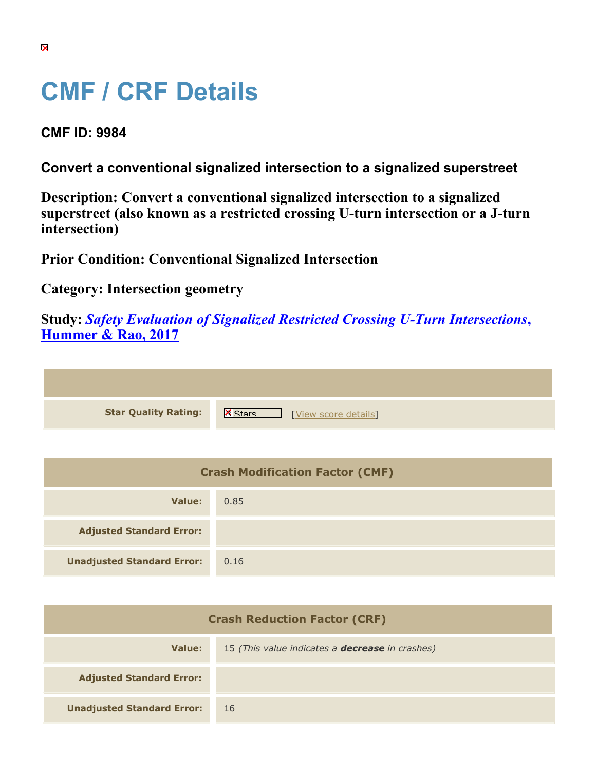## **CMF / CRF Details**

**CMF ID: 9984**

**Convert a conventional signalized intersection to a signalized superstreet**

**Description: Convert a conventional signalized intersection to a signalized superstreet (also known as a restricted crossing U-turn intersection or a J-turn intersection)**

**Prior Condition: Conventional Signalized Intersection**

**Category: Intersection geometry**

**Study:** *[Safety Evaluation of Signalized Restricted Crossing U-Turn Intersections](https://cmfclearinghouse.org/study_detail.cfm?stid=568)***[,](https://cmfclearinghouse.org/study_detail.cfm?stid=568) [Hummer & Rao, 2017](https://cmfclearinghouse.org/study_detail.cfm?stid=568)**

**Star Quality Rating:** X Wew score details]

| <b>Crash Modification Factor (CMF)</b> |      |  |
|----------------------------------------|------|--|
| Value:                                 | 0.85 |  |
| <b>Adjusted Standard Error:</b>        |      |  |
| <b>Unadjusted Standard Error:</b>      | 0.16 |  |

| <b>Crash Reduction Factor (CRF)</b> |                                                        |
|-------------------------------------|--------------------------------------------------------|
| Value:                              | 15 (This value indicates a <b>decrease</b> in crashes) |
| <b>Adjusted Standard Error:</b>     |                                                        |
| <b>Unadjusted Standard Error:</b>   | 16                                                     |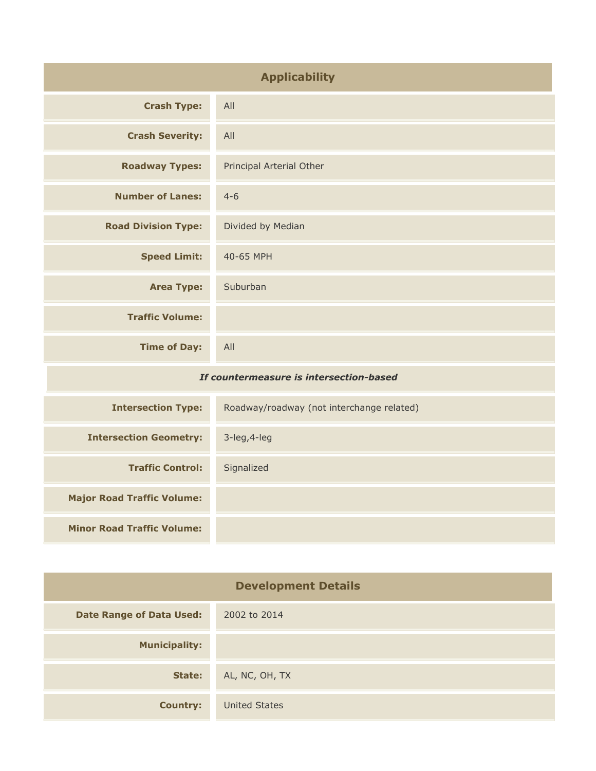| <b>Applicability</b>                    |                                           |
|-----------------------------------------|-------------------------------------------|
| <b>Crash Type:</b>                      | All                                       |
| <b>Crash Severity:</b>                  | All                                       |
| <b>Roadway Types:</b>                   | Principal Arterial Other                  |
| <b>Number of Lanes:</b>                 | $4 - 6$                                   |
| <b>Road Division Type:</b>              | Divided by Median                         |
| <b>Speed Limit:</b>                     | 40-65 MPH                                 |
| <b>Area Type:</b>                       | Suburban                                  |
| <b>Traffic Volume:</b>                  |                                           |
| <b>Time of Day:</b>                     | All                                       |
| If countermeasure is intersection-based |                                           |
| <b>Intersection Type:</b>               | Roadway/roadway (not interchange related) |
| <b>Intersection Geometry:</b>           | 3-leg, 4-leg                              |
| <b>Traffic Control:</b>                 | Signalized                                |
| <b>Major Road Traffic Volume:</b>       |                                           |
| <b>Minor Road Traffic Volume:</b>       |                                           |

| <b>Development Details</b>      |                      |
|---------------------------------|----------------------|
| <b>Date Range of Data Used:</b> | 2002 to 2014         |
| <b>Municipality:</b>            |                      |
| State:                          | AL, NC, OH, TX       |
| <b>Country:</b>                 | <b>United States</b> |